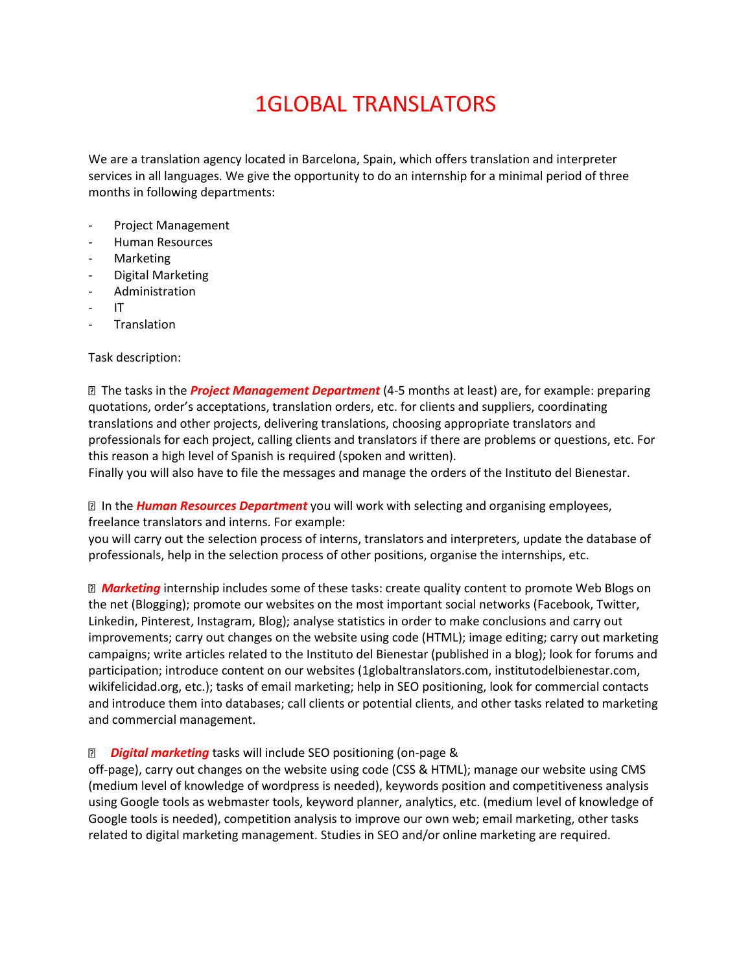## 1GLOBAL TRANSLATORS

We are a translation agency located in Barcelona, Spain, which offers translation and interpreter services in all languages. We give the opportunity to do an internship for a minimal period of three months in following departments:

- Project Management
- Human Resources
- **Marketing**
- Digital Marketing
- **Administration**
- IT
- **Translation**

Task description:

 The tasks in the *Project Management Department* (4-5 months at least) are, for example: preparing quotations, order's acceptations, translation orders, etc. for clients and suppliers, coordinating translations and other projects, delivering translations, choosing appropriate translators and professionals for each project, calling clients and translators if there are problems or questions, etc. For this reason a high level of Spanish is required (spoken and written).

Finally you will also have to file the messages and manage the orders of the Instituto del Bienestar.

 In the *Human Resources Department* you will work with selecting and organising employees, freelance translators and interns. For example:

you will carry out the selection process of interns, translators and interpreters, update the database of professionals, help in the selection process of other positions, organise the internships, etc.

 *Marketing* internship includes some of these tasks: create quality content to promote Web Blogs on the net (Blogging); promote our websites on the most important social networks (Facebook, Twitter, Linkedin, Pinterest, Instagram, Blog); analyse statistics in order to make conclusions and carry out improvements; carry out changes on the website using code (HTML); image editing; carry out marketing campaigns; write articles related to the Instituto del Bienestar (published in a blog); look for forums and participation; introduce content on our websites (1globaltranslators.com, institutodelbienestar.com, wikifelicidad.org, etc.); tasks of email marketing; help in SEO positioning, look for commercial contacts and introduce them into databases; call clients or potential clients, and other tasks related to marketing and commercial management.

## *Digital marketing* tasks will include SEO positioning (on-page &

off-page), carry out changes on the website using code (CSS & HTML); manage our website using CMS (medium level of knowledge of wordpress is needed), keywords position and competitiveness analysis using Google tools as webmaster tools, keyword planner, analytics, etc. (medium level of knowledge of Google tools is needed), competition analysis to improve our own web; email marketing, other tasks related to digital marketing management. Studies in SEO and/or online marketing are required.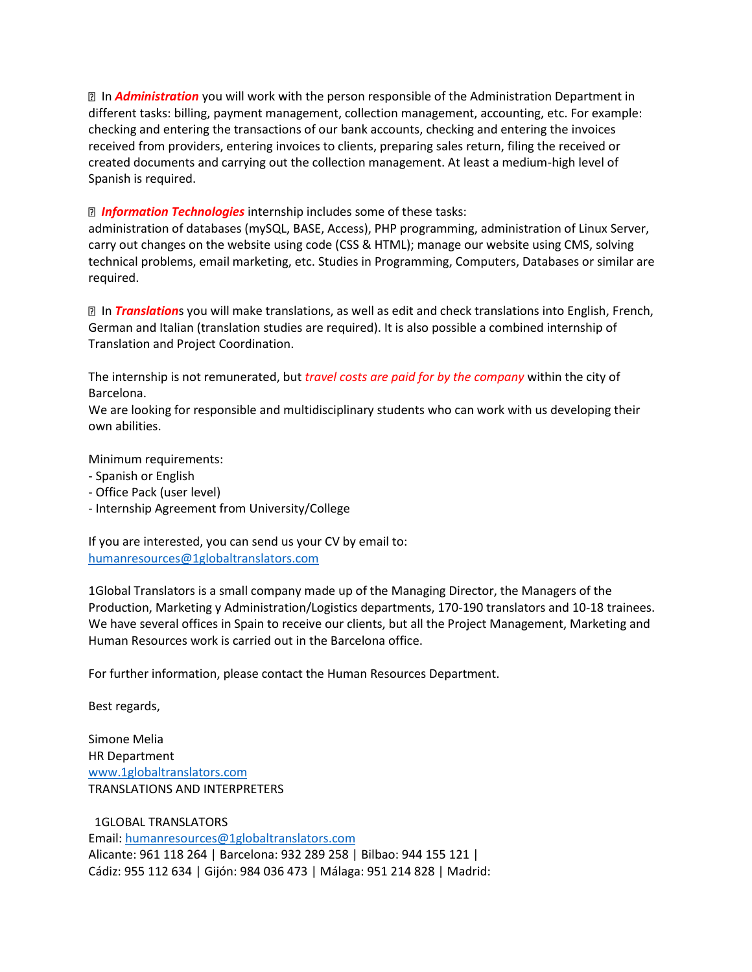In *Administration* you will work with the person responsible of the Administration Department in different tasks: billing, payment management, collection management, accounting, etc. For example: checking and entering the transactions of our bank accounts, checking and entering the invoices received from providers, entering invoices to clients, preparing sales return, filing the received or created documents and carrying out the collection management. At least a medium-high level of Spanish is required.

## *Information Technologies* internship includes some of these tasks:

administration of databases (mySQL, BASE, Access), PHP programming, administration of Linux Server, carry out changes on the website using code (CSS & HTML); manage our website using CMS, solving technical problems, email marketing, etc. Studies in Programming, Computers, Databases or similar are required.

 In *Translation*s you will make translations, as well as edit and check translations into English, French, German and Italian (translation studies are required). It is also possible a combined internship of Translation and Project Coordination.

The internship is not remunerated, but *travel costs are paid for by the company* within the city of Barcelona.

We are looking for responsible and multidisciplinary students who can work with us developing their own abilities.

Minimum requirements:

- Spanish or English
- Office Pack (user level)
- Internship Agreement from University/College

If you are interested, you can send us your CV by email to: [humanresources@1globaltranslators.com](mailto:humanresources@1globaltranslators.com)

1Global Translators is a small company made up of the Managing Director, the Managers of the Production, Marketing y Administration/Logistics departments, 170-190 translators and 10-18 trainees. We have several offices in Spain to receive our clients, but all the Project Management, Marketing and Human Resources work is carried out in the Barcelona office.

For further information, please contact the Human Resources Department.

Best regards,

Simone Melia HR Department [www.1globaltranslators.com](http://www.1globaltranslators.com/) TRANSLATIONS AND INTERPRETERS

 1GLOBAL TRANSLATORS Email: [humanresources@1globaltranslators.com](mailto:humanresources@1globaltranslators.com) Alicante: 961 118 264 | Barcelona: 932 289 258 | Bilbao: 944 155 121 | Cádiz: 955 112 634 | Gijón: 984 036 473 | Málaga: 951 214 828 | Madrid: